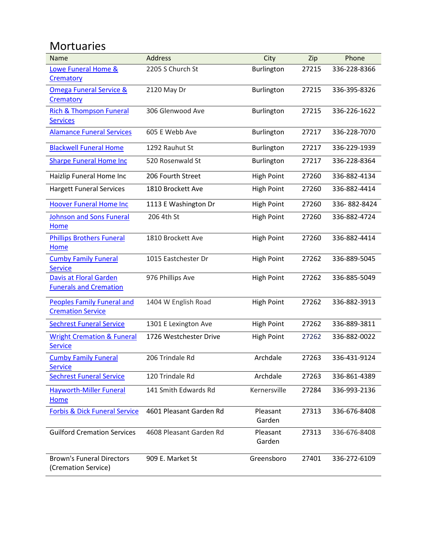#### Mortuaries

| Name                                                          | <b>Address</b>          | City               | Zip   | Phone        |
|---------------------------------------------------------------|-------------------------|--------------------|-------|--------------|
| Lowe Funeral Home &                                           | 2205 S Church St        | Burlington         | 27215 | 336-228-8366 |
| Crematory                                                     |                         |                    |       |              |
| <b>Omega Funeral Service &amp;</b>                            | 2120 May Dr             | Burlington         | 27215 | 336-395-8326 |
| Crematory                                                     |                         |                    |       |              |
| <b>Rich &amp; Thompson Funeral</b>                            | 306 Glenwood Ave        | Burlington         | 27215 | 336-226-1622 |
| <b>Services</b>                                               |                         |                    |       |              |
| <b>Alamance Funeral Services</b>                              | 605 E Webb Ave          | Burlington         | 27217 | 336-228-7070 |
| <b>Blackwell Funeral Home</b>                                 | 1292 Rauhut St          | Burlington         | 27217 | 336-229-1939 |
| <b>Sharpe Funeral Home Inc</b>                                | 520 Rosenwald St        | Burlington         | 27217 | 336-228-8364 |
| Haizlip Funeral Home Inc                                      | 206 Fourth Street       | <b>High Point</b>  | 27260 | 336-882-4134 |
| <b>Hargett Funeral Services</b>                               | 1810 Brockett Ave       | <b>High Point</b>  | 27260 | 336-882-4414 |
| <b>Hoover Funeral Home Inc</b>                                | 1113 E Washington Dr    | <b>High Point</b>  | 27260 | 336-882-8424 |
| <b>Johnson and Sons Funeral</b><br>Home                       | 206 4th St              | <b>High Point</b>  | 27260 | 336-882-4724 |
| <b>Phillips Brothers Funeral</b><br>Home                      | 1810 Brockett Ave       | <b>High Point</b>  | 27260 | 336-882-4414 |
| <b>Cumby Family Funeral</b><br><b>Service</b>                 | 1015 Eastchester Dr     | <b>High Point</b>  | 27262 | 336-889-5045 |
| <b>Davis at Floral Garden</b>                                 | 976 Phillips Ave        | <b>High Point</b>  | 27262 | 336-885-5049 |
| <b>Funerals and Cremation</b>                                 |                         |                    |       |              |
| <b>Peoples Family Funeral and</b><br><b>Cremation Service</b> | 1404 W English Road     | <b>High Point</b>  | 27262 | 336-882-3913 |
| <b>Sechrest Funeral Service</b>                               | 1301 E Lexington Ave    | <b>High Point</b>  | 27262 | 336-889-3811 |
| <b>Wright Cremation &amp; Funeral</b><br><b>Service</b>       | 1726 Westchester Drive  | <b>High Point</b>  | 27262 | 336-882-0022 |
| <b>Cumby Family Funeral</b><br><b>Service</b>                 | 206 Trindale Rd         | Archdale           | 27263 | 336-431-9124 |
| <b>Sechrest Funeral Service</b>                               | 120 Trindale Rd         | Archdale           | 27263 | 336-861-4389 |
| <b>Hayworth-Miller Funeral</b><br>Home                        | 141 Smith Edwards Rd    | Kernersville       | 27284 | 336-993-2136 |
| <b>Forbis &amp; Dick Funeral Service</b>                      | 4601 Pleasant Garden Rd | Pleasant<br>Garden | 27313 | 336-676-8408 |
| <b>Guilford Cremation Services</b>                            | 4608 Pleasant Garden Rd | Pleasant<br>Garden | 27313 | 336-676-8408 |
| <b>Brown's Funeral Directors</b><br>(Cremation Service)       | 909 E. Market St        | Greensboro         | 27401 | 336-272-6109 |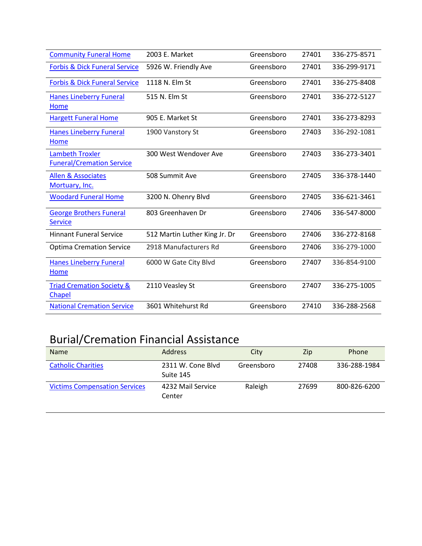| <b>Community Funeral Home</b>                              | 2003 E. Market                | Greensboro | 27401 | 336-275-8571 |
|------------------------------------------------------------|-------------------------------|------------|-------|--------------|
| <b>Forbis &amp; Dick Funeral Service</b>                   | 5926 W. Friendly Ave          | Greensboro | 27401 | 336-299-9171 |
| <b>Forbis &amp; Dick Funeral Service</b>                   | 1118 N. Elm St                | Greensboro | 27401 | 336-275-8408 |
| <b>Hanes Lineberry Funeral</b><br>Home                     | 515 N. Elm St                 | Greensboro | 27401 | 336-272-5127 |
| <b>Hargett Funeral Home</b>                                | 905 E. Market St              | Greensboro | 27401 | 336-273-8293 |
| <b>Hanes Lineberry Funeral</b><br>Home                     | 1900 Vanstory St              | Greensboro | 27403 | 336-292-1081 |
| <b>Lambeth Troxler</b><br><b>Funeral/Cremation Service</b> | 300 West Wendover Ave         | Greensboro | 27403 | 336-273-3401 |
| <b>Allen &amp; Associates</b><br>Mortuary, Inc.            | 508 Summit Ave                | Greensboro | 27405 | 336-378-1440 |
| <b>Woodard Funeral Home</b>                                | 3200 N. Ohenry Blvd           | Greensboro | 27405 | 336-621-3461 |
| <b>George Brothers Funeral</b><br><b>Service</b>           | 803 Greenhaven Dr             | Greensboro | 27406 | 336-547-8000 |
| <b>Hinnant Funeral Service</b>                             | 512 Martin Luther King Jr. Dr | Greensboro | 27406 | 336-272-8168 |
| <b>Optima Cremation Service</b>                            | 2918 Manufacturers Rd         | Greensboro | 27406 | 336-279-1000 |
| <b>Hanes Lineberry Funeral</b><br>Home                     | 6000 W Gate City Blvd         | Greensboro | 27407 | 336-854-9100 |
| <b>Triad Cremation Society &amp;</b><br>Chapel             | 2110 Veasley St               | Greensboro | 27407 | 336-275-1005 |
| <b>National Cremation Service</b>                          | 3601 Whitehurst Rd            | Greensboro | 27410 | 336-288-2568 |

# Burial/Cremation Financial Assistance

| <b>Name</b>                          | <b>Address</b>                 | City       | Zip   | Phone        |
|--------------------------------------|--------------------------------|------------|-------|--------------|
| <b>Catholic Charities</b>            | 2311 W. Cone Blyd<br>Suite 145 | Greensboro | 27408 | 336-288-1984 |
| <b>Victims Compensation Services</b> | 4232 Mail Service<br>Center    | Raleigh    | 27699 | 800-826-6200 |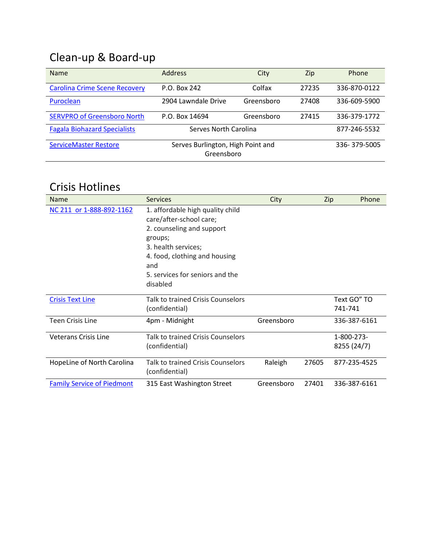## Clean-up & Board-up

| <b>Name</b>                          | <b>Address</b>                                  | City       | Zip   | Phone        |
|--------------------------------------|-------------------------------------------------|------------|-------|--------------|
| <b>Carolina Crime Scene Recovery</b> | P.O. Box 242                                    | Colfax     | 27235 | 336-870-0122 |
| Puroclean                            | 2904 Lawndale Drive                             | Greensboro | 27408 | 336-609-5900 |
| <b>SERVPRO of Greensboro North</b>   | P.O. Box 14694                                  | Greensboro | 27415 | 336-379-1772 |
| <b>Fagala Biohazard Specialists</b>  | Serves North Carolina                           |            |       | 877-246-5532 |
| <b>ServiceMaster Restore</b>         | Serves Burlington, High Point and<br>Greensboro |            |       | 336-379-5005 |

#### Crisis Hotlines

| Name                              | <b>Services</b>                                                                                                                                                                                                   | City       |       | Phone<br>Zip              |
|-----------------------------------|-------------------------------------------------------------------------------------------------------------------------------------------------------------------------------------------------------------------|------------|-------|---------------------------|
| NC 211 or 1-888-892-1162          | 1. affordable high quality child<br>care/after-school care;<br>2. counseling and support<br>groups;<br>3. health services;<br>4. food, clothing and housing<br>and<br>5. services for seniors and the<br>disabled |            |       |                           |
| <b>Crisis Text Line</b>           | Talk to trained Crisis Counselors<br>(confidential)                                                                                                                                                               |            |       | Text GO" TO<br>741-741    |
| <b>Teen Crisis Line</b>           | 4pm - Midnight                                                                                                                                                                                                    | Greensboro |       | 336-387-6161              |
| <b>Veterans Crisis Line</b>       | Talk to trained Crisis Counselors<br>(confidential)                                                                                                                                                               |            |       | 1-800-273-<br>8255 (24/7) |
| HopeLine of North Carolina        | Talk to trained Crisis Counselors<br>(confidential)                                                                                                                                                               | Raleigh    | 27605 | 877-235-4525              |
| <b>Family Service of Piedmont</b> | 315 East Washington Street                                                                                                                                                                                        | Greensboro | 27401 | 336-387-6161              |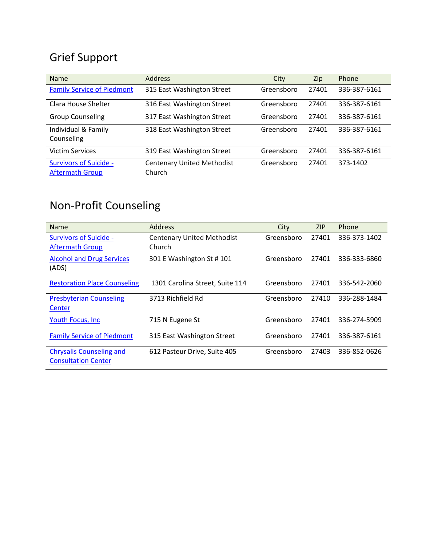## Grief Support

| <b>Name</b>                                             | <b>Address</b>                              | City       | Zip   | Phone        |
|---------------------------------------------------------|---------------------------------------------|------------|-------|--------------|
| <b>Family Service of Piedmont</b>                       | 315 East Washington Street                  | Greensboro | 27401 | 336-387-6161 |
| Clara House Shelter                                     | 316 East Washington Street                  | Greensboro | 27401 | 336-387-6161 |
| <b>Group Counseling</b>                                 | 317 East Washington Street                  | Greensboro | 27401 | 336-387-6161 |
| Individual & Family<br>Counseling                       | 318 East Washington Street                  | Greensboro | 27401 | 336-387-6161 |
| <b>Victim Services</b>                                  | 319 East Washington Street                  | Greensboro | 27401 | 336-387-6161 |
| <b>Survivors of Suicide -</b><br><b>Aftermath Group</b> | <b>Centenary United Methodist</b><br>Church | Greensboro | 27401 | 373-1402     |

## Non-Profit Counseling

| <b>Name</b>                                                   | <b>Address</b>                    | City       | ZIP   | Phone        |
|---------------------------------------------------------------|-----------------------------------|------------|-------|--------------|
| <b>Survivors of Suicide -</b>                                 | <b>Centenary United Methodist</b> | Greensboro | 27401 | 336-373-1402 |
| <b>Aftermath Group</b>                                        | Church                            |            |       |              |
| <b>Alcohol and Drug Services</b><br>(ADS)                     | 301 E Washington St #101          | Greensboro | 27401 | 336-333-6860 |
| <b>Restoration Place Counseling</b>                           | 1301 Carolina Street, Suite 114   | Greensboro | 27401 | 336-542-2060 |
| <b>Presbyterian Counseling</b><br>Center                      | 3713 Richfield Rd                 | Greensboro | 27410 | 336-288-1484 |
| <b>Youth Focus, Inc.</b>                                      | 715 N Eugene St                   | Greensboro | 27401 | 336-274-5909 |
| <b>Family Service of Piedmont</b>                             | 315 East Washington Street        | Greensboro | 27401 | 336-387-6161 |
| <b>Chrysalis Counseling and</b><br><b>Consultation Center</b> | 612 Pasteur Drive, Suite 405      | Greensboro | 27403 | 336-852-0626 |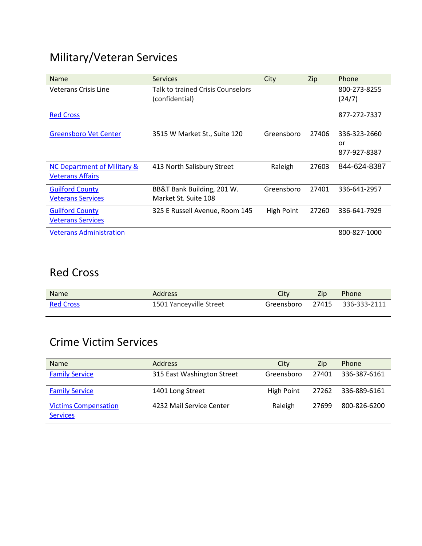## Military/Veteran Services

| <b>Name</b>                    | <b>Services</b>                   | City       | Zip   | Phone        |
|--------------------------------|-----------------------------------|------------|-------|--------------|
| Veterans Crisis Line           | Talk to trained Crisis Counselors |            |       | 800-273-8255 |
|                                | (confidential)                    |            |       | (24/7)       |
| <b>Red Cross</b>               |                                   |            |       | 877-272-7337 |
| <b>Greensboro Vet Center</b>   | 3515 W Market St., Suite 120      | Greensboro | 27406 | 336-323-2660 |
|                                |                                   |            |       | or           |
|                                |                                   |            |       | 877-927-8387 |
| NC Department of Military &    | 413 North Salisbury Street        | Raleigh    | 27603 | 844-624-8387 |
| <b>Veterans Affairs</b>        |                                   |            |       |              |
| <b>Guilford County</b>         | BB&T Bank Building, 201 W.        | Greensboro | 27401 | 336-641-2957 |
| <b>Veterans Services</b>       | Market St. Suite 108              |            |       |              |
| <b>Guilford County</b>         | 325 E Russell Avenue, Room 145    | High Point | 27260 | 336-641-7929 |
| <b>Veterans Services</b>       |                                   |            |       |              |
| <b>Veterans Administration</b> |                                   |            |       | 800-827-1000 |

#### Red Cross

| <b>Name</b>      | Address                 | Citv | Zip | <b>Example Phone</b>          |
|------------------|-------------------------|------|-----|-------------------------------|
| <b>Red Cross</b> | 1501 Yanceyville Street |      |     | Greensboro 27415 336-333-2111 |

#### Crime Victim Services

| <b>Name</b>                                    | <b>Address</b>             | City       | Zip   | <b>Phone</b> |
|------------------------------------------------|----------------------------|------------|-------|--------------|
| <b>Family Service</b>                          | 315 East Washington Street | Greensboro | 27401 | 336-387-6161 |
| <b>Family Service</b>                          | 1401 Long Street           | High Point | 27262 | 336-889-6161 |
| <b>Victims Compensation</b><br><b>Services</b> | 4232 Mail Service Center   | Raleigh    | 27699 | 800-826-6200 |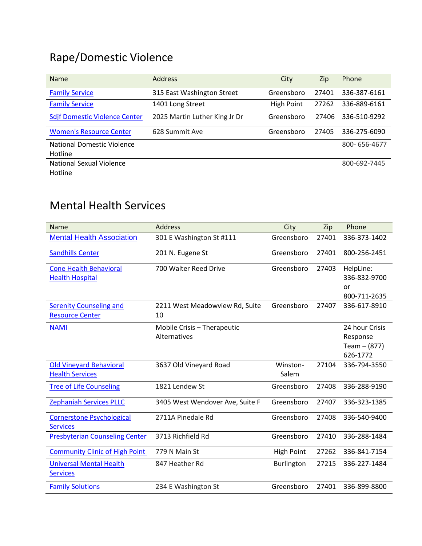# Rape/Domestic Violence

| <b>Name</b>                                  | <b>Address</b>                | City       | Zip   | Phone        |
|----------------------------------------------|-------------------------------|------------|-------|--------------|
| <b>Family Service</b>                        | 315 East Washington Street    | Greensboro | 27401 | 336-387-6161 |
| <b>Family Service</b>                        | 1401 Long Street              | High Point | 27262 | 336-889-6161 |
| <b>Sdjf Domestic Violence Center</b>         | 2025 Martin Luther King Jr Dr | Greensboro | 27406 | 336-510-9292 |
| <b>Women's Resource Center</b>               | 628 Summit Ave                | Greensboro | 27405 | 336-275-6090 |
| <b>National Domestic Violence</b><br>Hotline |                               |            |       | 800-656-4677 |
| National Sexual Violence<br>Hotline          |                               |            |       | 800-692-7445 |

### Mental Health Services

| <b>Name</b>                           | <b>Address</b>                  | City              | Zip   | Phone          |
|---------------------------------------|---------------------------------|-------------------|-------|----------------|
| <b>Mental Health Association</b>      | 301 E Washington St #111        | Greensboro        | 27401 | 336-373-1402   |
| <b>Sandhills Center</b>               | 201 N. Eugene St                | Greensboro        | 27401 | 800-256-2451   |
| <b>Cone Health Behavioral</b>         | 700 Walter Reed Drive           | Greensboro        | 27403 | HelpLine:      |
| <b>Health Hospital</b>                |                                 |                   |       | 336-832-9700   |
|                                       |                                 |                   |       | or             |
|                                       |                                 |                   |       | 800-711-2635   |
| <b>Serenity Counseling and</b>        | 2211 West Meadowview Rd, Suite  | Greensboro        | 27407 | 336-617-8910   |
| <b>Resource Center</b>                | 10                              |                   |       |                |
| <b>NAMI</b>                           | Mobile Crisis - Therapeutic     |                   |       | 24 hour Crisis |
|                                       | Alternatives                    |                   |       | Response       |
|                                       |                                 |                   |       | Team $- (877)$ |
|                                       |                                 |                   |       | 626-1772       |
| <b>Old Vineyard Behavioral</b>        | 3637 Old Vineyard Road          | Winston-          | 27104 | 336-794-3550   |
| <b>Health Services</b>                |                                 | Salem             |       |                |
| <b>Tree of Life Counseling</b>        | 1821 Lendew St                  | Greensboro        | 27408 | 336-288-9190   |
| <b>Zephaniah Services PLLC</b>        | 3405 West Wendover Ave, Suite F | Greensboro        | 27407 | 336-323-1385   |
| <b>Cornerstone Psychological</b>      | 2711A Pinedale Rd               | Greensboro        | 27408 | 336-540-9400   |
| <b>Services</b>                       |                                 |                   |       |                |
| <b>Presbyterian Counseling Center</b> | 3713 Richfield Rd               | Greensboro        | 27410 | 336-288-1484   |
| <b>Community Clinic of High Point</b> | 779 N Main St                   | <b>High Point</b> | 27262 | 336-841-7154   |
| <b>Universal Mental Health</b>        | 847 Heather Rd                  | Burlington        | 27215 | 336-227-1484   |
| <b>Services</b>                       |                                 |                   |       |                |
| <b>Family Solutions</b>               | 234 E Washington St             | Greensboro        | 27401 | 336-899-8800   |